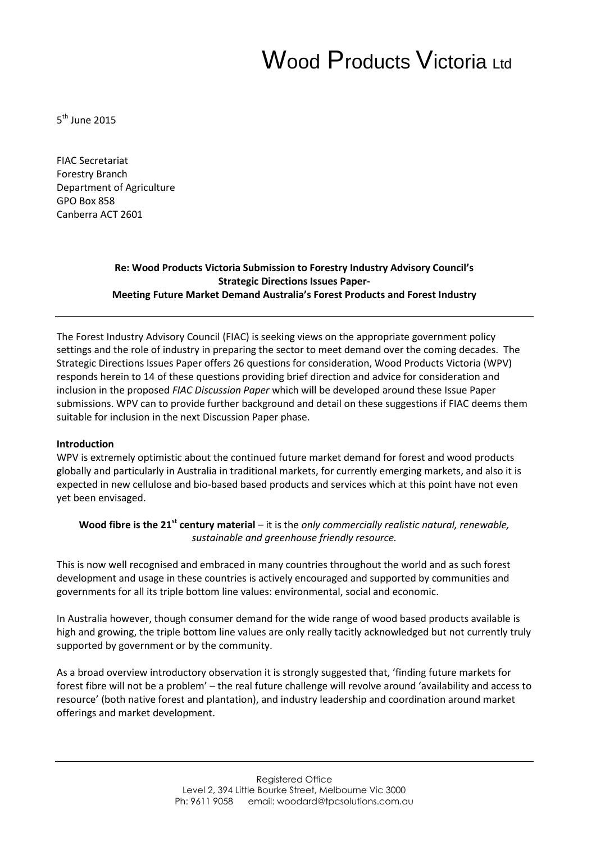# Wood Products Victoria Ltd

5<sup>th</sup> June 2015

FIAC Secretariat Forestry Branch Department of Agriculture GPO Box 858 Canberra ACT 2601

#### **Re: Wood Products Victoria Submission to Forestry Industry Advisory Council's Strategic Directions Issues Paper-Meeting Future Market Demand Australia's Forest Products and Forest Industry**

The Forest Industry Advisory Council (FIAC) is seeking views on the appropriate government policy settings and the role of industry in preparing the sector to meet demand over the coming decades. The Strategic Directions Issues Paper offers 26 questions for consideration, Wood Products Victoria (WPV) responds herein to 14 of these questions providing brief direction and advice for consideration and inclusion in the proposed *FIAC Discussion Paper* which will be developed around these Issue Paper submissions. WPV can to provide further background and detail on these suggestions if FIAC deems them suitable for inclusion in the next Discussion Paper phase.

#### **Introduction**

WPV is extremely optimistic about the continued future market demand for forest and wood products globally and particularly in Australia in traditional markets, for currently emerging markets, and also it is expected in new cellulose and bio-based based products and services which at this point have not even yet been envisaged.

**Wood fibre is the 21st century material** – it is the *only commercially realistic natural, renewable, sustainable and greenhouse friendly resource.*

This is now well recognised and embraced in many countries throughout the world and as such forest development and usage in these countries is actively encouraged and supported by communities and governments for all its triple bottom line values: environmental, social and economic.

In Australia however, though consumer demand for the wide range of wood based products available is high and growing, the triple bottom line values are only really tacitly acknowledged but not currently truly supported by government or by the community.

As a broad overview introductory observation it is strongly suggested that, 'finding future markets for forest fibre will not be a problem' – the real future challenge will revolve around 'availability and access to resource' (both native forest and plantation), and industry leadership and coordination around market offerings and market development.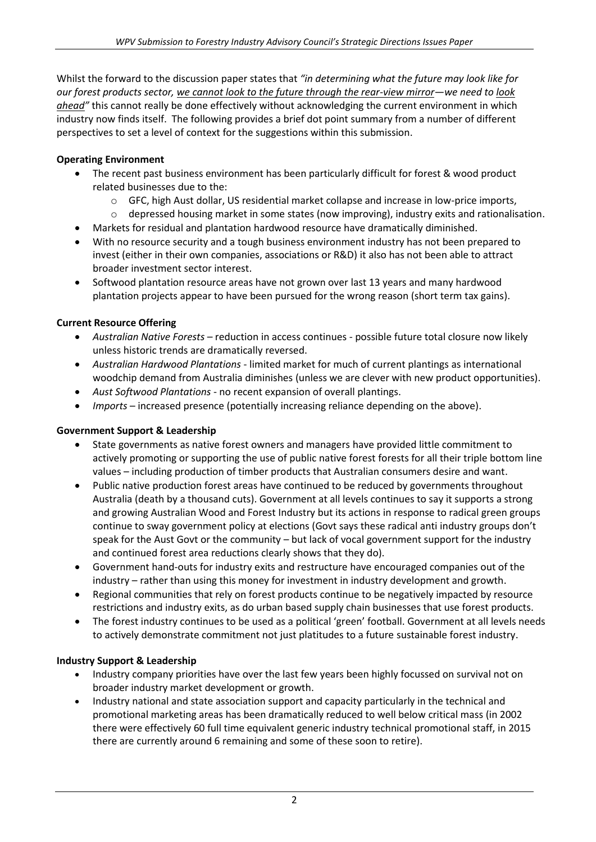Whilst the forward to the discussion paper states that *"in determining what the future may look like for our forest products sector, we cannot look to the future through the rear-view mirror—we need to look ahead"* this cannot really be done effectively without acknowledging the current environment in which industry now finds itself. The following provides a brief dot point summary from a number of different perspectives to set a level of context for the suggestions within this submission.

# **Operating Environment**

- The recent past business environment has been particularly difficult for forest & wood product related businesses due to the:
	- o GFC, high Aust dollar, US residential market collapse and increase in low-price imports,
	- $\circ$  depressed housing market in some states (now improving), industry exits and rationalisation.
- Markets for residual and plantation hardwood resource have dramatically diminished.
- With no resource security and a tough business environment industry has not been prepared to invest (either in their own companies, associations or R&D) it also has not been able to attract broader investment sector interest.
- Softwood plantation resource areas have not grown over last 13 years and many hardwood plantation projects appear to have been pursued for the wrong reason (short term tax gains).

# **Current Resource Offering**

- *Australian Native Forests*  reduction in access continues possible future total closure now likely unless historic trends are dramatically reversed.
- *Australian Hardwood Plantations* limited market for much of current plantings as international woodchip demand from Australia diminishes (unless we are clever with new product opportunities).
- *Aust Softwood Plantations* no recent expansion of overall plantings.
- *Imports* increased presence (potentially increasing reliance depending on the above).

# **Government Support & Leadership**

- State governments as native forest owners and managers have provided little commitment to actively promoting or supporting the use of public native forest forests for all their triple bottom line values – including production of timber products that Australian consumers desire and want.
- Public native production forest areas have continued to be reduced by governments throughout Australia (death by a thousand cuts). Government at all levels continues to say it supports a strong and growing Australian Wood and Forest Industry but its actions in response to radical green groups continue to sway government policy at elections (Govt says these radical anti industry groups don't speak for the Aust Govt or the community – but lack of vocal government support for the industry and continued forest area reductions clearly shows that they do).
- Government hand-outs for industry exits and restructure have encouraged companies out of the industry – rather than using this money for investment in industry development and growth.
- Regional communities that rely on forest products continue to be negatively impacted by resource restrictions and industry exits, as do urban based supply chain businesses that use forest products.
- The forest industry continues to be used as a political 'green' football. Government at all levels needs to actively demonstrate commitment not just platitudes to a future sustainable forest industry.

# **Industry Support & Leadership**

- Industry company priorities have over the last few years been highly focussed on survival not on broader industry market development or growth.
- Industry national and state association support and capacity particularly in the technical and promotional marketing areas has been dramatically reduced to well below critical mass (in 2002 there were effectively 60 full time equivalent generic industry technical promotional staff, in 2015 there are currently around 6 remaining and some of these soon to retire).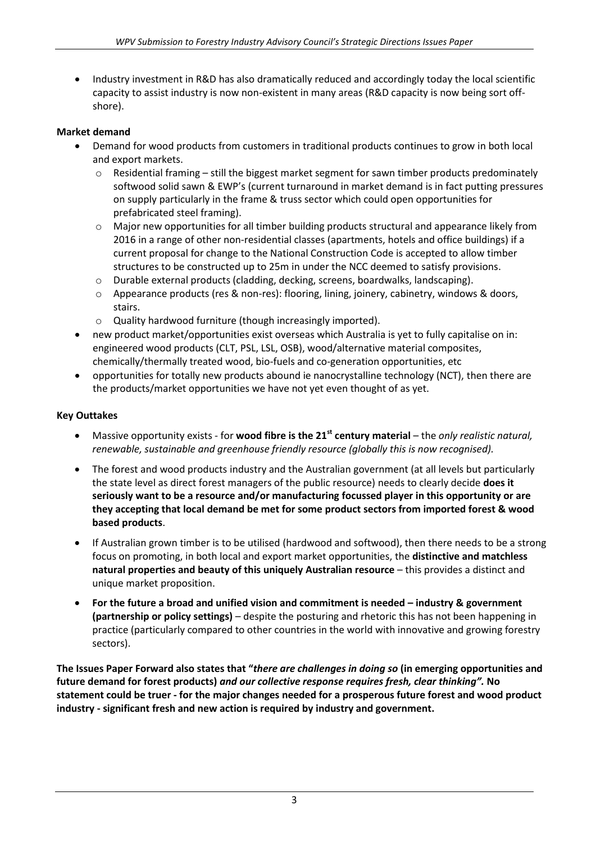Industry investment in R&D has also dramatically reduced and accordingly today the local scientific capacity to assist industry is now non-existent in many areas (R&D capacity is now being sort offshore).

# **Market demand**

- Demand for wood products from customers in traditional products continues to grow in both local and export markets.
	- $\circ$  Residential framing still the biggest market segment for sawn timber products predominately softwood solid sawn & EWP's (current turnaround in market demand is in fact putting pressures on supply particularly in the frame & truss sector which could open opportunities for prefabricated steel framing).
	- $\circ$  Major new opportunities for all timber building products structural and appearance likely from 2016 in a range of other non-residential classes (apartments, hotels and office buildings) if a current proposal for change to the National Construction Code is accepted to allow timber structures to be constructed up to 25m in under the NCC deemed to satisfy provisions.
	- $\circ$  Durable external products (cladding, decking, screens, boardwalks, landscaping).
	- o Appearance products (res & non-res): flooring, lining, joinery, cabinetry, windows & doors, stairs.
	- o Quality hardwood furniture (though increasingly imported).
- new product market/opportunities exist overseas which Australia is yet to fully capitalise on in: engineered wood products (CLT, PSL, LSL, OSB), wood/alternative material composites, chemically/thermally treated wood, bio-fuels and co-generation opportunities, etc
- opportunities for totally new products abound ie nanocrystalline technology (NCT), then there are the products/market opportunities we have not yet even thought of as yet.

# **Key Outtakes**

- Massive opportunity exists for **wood fibre is the 21st century material** the *only realistic natural, renewable, sustainable and greenhouse friendly resource (globally this is now recognised).*
- The forest and wood products industry and the Australian government (at all levels but particularly the state level as direct forest managers of the public resource) needs to clearly decide **does it seriously want to be a resource and/or manufacturing focussed player in this opportunity or are they accepting that local demand be met for some product sectors from imported forest & wood based products**.
- If Australian grown timber is to be utilised (hardwood and softwood), then there needs to be a strong focus on promoting, in both local and export market opportunities, the **distinctive and matchless natural properties and beauty of this uniquely Australian resource** – this provides a distinct and unique market proposition.
- **For the future a broad and unified vision and commitment is needed – industry & government (partnership or policy settings)** – despite the posturing and rhetoric this has not been happening in practice (particularly compared to other countries in the world with innovative and growing forestry sectors).

**The Issues Paper Forward also states that "***there are challenges in doing so* **(in emerging opportunities and future demand for forest products)** *and our collective response requires fresh, clear thinking".* **No statement could be truer - for the major changes needed for a prosperous future forest and wood product industry - significant fresh and new action is required by industry and government.**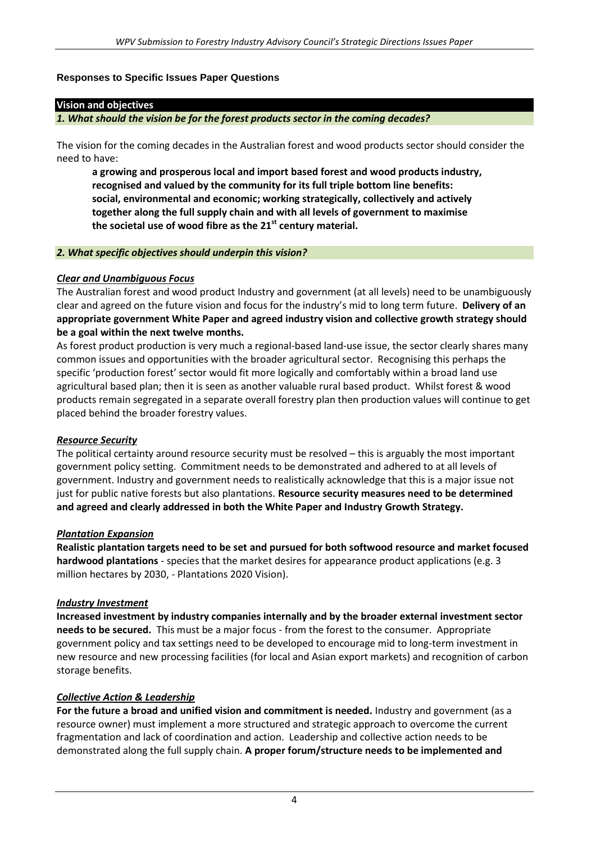## **Responses to Specific Issues Paper Questions**

#### **Vision and objectives**

*1. What should the vision be for the forest products sector in the coming decades?*

The vision for the coming decades in the Australian forest and wood products sector should consider the need to have:

**a growing and prosperous local and import based forest and wood products industry, recognised and valued by the community for its full triple bottom line benefits: social, environmental and economic; working strategically, collectively and actively together along the full supply chain and with all levels of government to maximise the societal use of wood fibre as the 21st century material.**

#### *2. What specific objectives should underpin this vision?*

## *Clear and Unambiguous Focus*

The Australian forest and wood product Industry and government (at all levels) need to be unambiguously clear and agreed on the future vision and focus for the industry's mid to long term future. **Delivery of an appropriate government White Paper and agreed industry vision and collective growth strategy should be a goal within the next twelve months.**

As forest product production is very much a regional-based land-use issue, the sector clearly shares many common issues and opportunities with the broader agricultural sector. Recognising this perhaps the specific 'production forest' sector would fit more logically and comfortably within a broad land use agricultural based plan; then it is seen as another valuable rural based product. Whilst forest & wood products remain segregated in a separate overall forestry plan then production values will continue to get placed behind the broader forestry values.

# *Resource Security*

The political certainty around resource security must be resolved – this is arguably the most important government policy setting. Commitment needs to be demonstrated and adhered to at all levels of government. Industry and government needs to realistically acknowledge that this is a major issue not just for public native forests but also plantations. **Resource security measures need to be determined and agreed and clearly addressed in both the White Paper and Industry Growth Strategy.**

#### *Plantation Expansion*

**Realistic plantation targets need to be set and pursued for both softwood resource and market focused hardwood plantations** - species that the market desires for appearance product applications (e.g. 3 million hectares by 2030, - Plantations 2020 Vision).

#### *Industry Investment*

**Increased investment by industry companies internally and by the broader external investment sector needs to be secured.** This must be a major focus - from the forest to the consumer. Appropriate government policy and tax settings need to be developed to encourage mid to long-term investment in new resource and new processing facilities (for local and Asian export markets) and recognition of carbon storage benefits.

# *Collective Action & Leadership*

**For the future a broad and unified vision and commitment is needed.** Industry and government (as a resource owner) must implement a more structured and strategic approach to overcome the current fragmentation and lack of coordination and action. Leadership and collective action needs to be demonstrated along the full supply chain. **A proper forum/structure needs to be implemented and**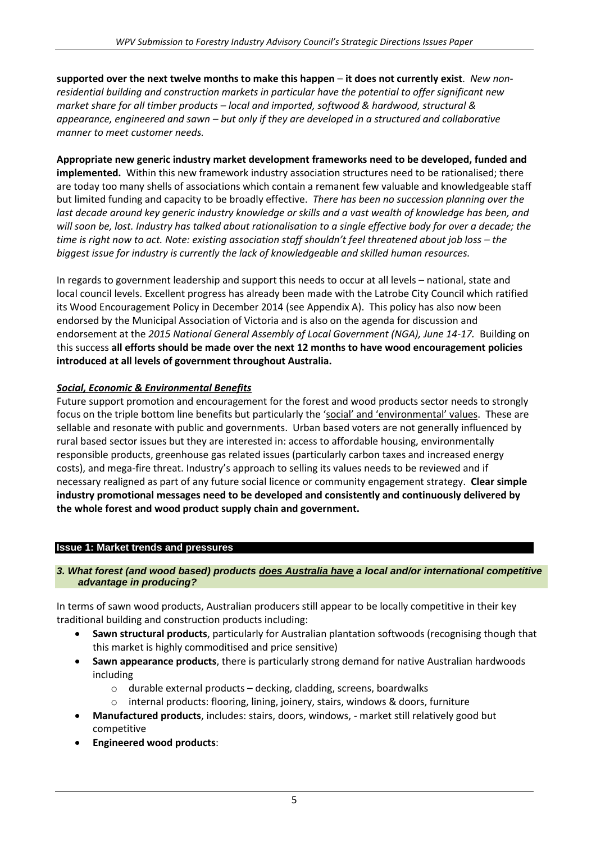**supported over the next twelve months to make this happen** – **it does not currently exist**. *New nonresidential building and construction markets in particular have the potential to offer significant new market share for all timber products – local and imported, softwood & hardwood, structural & appearance, engineered and sawn – but only if they are developed in a structured and collaborative manner to meet customer needs.*

**Appropriate new generic industry market development frameworks need to be developed, funded and implemented.** Within this new framework industry association structures need to be rationalised; there are today too many shells of associations which contain a remanent few valuable and knowledgeable staff but limited funding and capacity to be broadly effective. *There has been no succession planning over the*  last decade around key generic industry knowledge or skills and a vast wealth of knowledge has been, and *will soon be, lost. Industry has talked about rationalisation to a single effective body for over a decade; the time is right now to act. Note: existing association staff shouldn't feel threatened about job loss – the biggest issue for industry is currently the lack of knowledgeable and skilled human resources.*

In regards to government leadership and support this needs to occur at all levels – national, state and local council levels. Excellent progress has already been made with the Latrobe City Council which ratified its Wood Encouragement Policy in December 2014 (see Appendix A). This policy has also now been endorsed by the Municipal Association of Victoria and is also on the agenda for discussion and endorsement at the *2015 National General Assembly of Local Government (NGA), June 14-17.* Building on this success **all efforts should be made over the next 12 months to have wood encouragement policies introduced at all levels of government throughout Australia.**

# *Social, Economic & Environmental Benefits*

Future support promotion and encouragement for the forest and wood products sector needs to strongly focus on the triple bottom line benefits but particularly the 'social' and 'environmental' values. These are sellable and resonate with public and governments. Urban based voters are not generally influenced by rural based sector issues but they are interested in: access to affordable housing, environmentally responsible products, greenhouse gas related issues (particularly carbon taxes and increased energy costs), and mega-fire threat. Industry's approach to selling its values needs to be reviewed and if necessary realigned as part of any future social licence or community engagement strategy. **Clear simple industry promotional messages need to be developed and consistently and continuously delivered by the whole forest and wood product supply chain and government.**

#### **Issue 1: Market trends and pressures**

#### *3. What forest (and wood based) products does Australia have a local and/or international competitive advantage in producing?*

In terms of sawn wood products, Australian producers still appear to be locally competitive in their key traditional building and construction products including:

- **Sawn structural products**, particularly for Australian plantation softwoods (recognising though that this market is highly commoditised and price sensitive)
- **Sawn appearance products**, there is particularly strong demand for native Australian hardwoods including
	- o durable external products decking, cladding, screens, boardwalks
	- o internal products: flooring, lining, joinery, stairs, windows & doors, furniture
- **Manufactured products**, includes: stairs, doors, windows, market still relatively good but competitive
- **Engineered wood products**: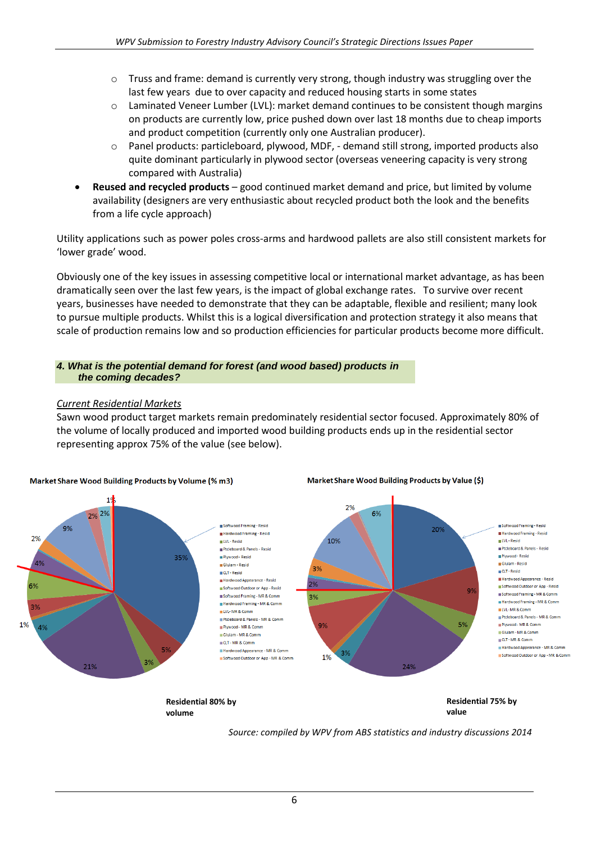- $\circ$  Truss and frame: demand is currently very strong, though industry was struggling over the last few years due to over capacity and reduced housing starts in some states
- $\circ$  Laminated Veneer Lumber (LVL): market demand continues to be consistent though margins on products are currently low, price pushed down over last 18 months due to cheap imports and product competition (currently only one Australian producer).
- o Panel products: particleboard, plywood, MDF, demand still strong, imported products also quite dominant particularly in plywood sector (overseas veneering capacity is very strong compared with Australia)
- **Reused and recycled products** good continued market demand and price, but limited by volume availability (designers are very enthusiastic about recycled product both the look and the benefits from a life cycle approach)

Utility applications such as power poles cross-arms and hardwood pallets are also still consistent markets for 'lower grade' wood.

Obviously one of the key issues in assessing competitive local or international market advantage, as has been dramatically seen over the last few years, is the impact of global exchange rates. To survive over recent years, businesses have needed to demonstrate that they can be adaptable, flexible and resilient; many look to pursue multiple products. Whilst this is a logical diversification and protection strategy it also means that scale of production remains low and so production efficiencies for particular products become more difficult.

#### *4. What is the potential demand for forest (and wood based) products in the coming decades?*

#### *Current Residential Markets*

Sawn wood product target markets remain predominately residential sector focused. Approximately 80% of the volume of locally produced and imported wood building products ends up in the residential sector representing approx 75% of the value (see below).



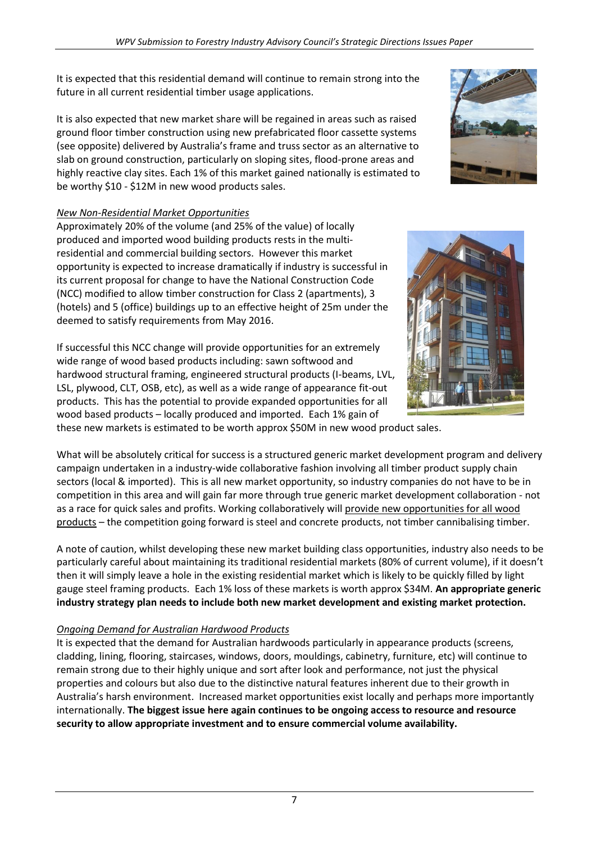It is expected that this residential demand will continue to remain strong into the future in all current residential timber usage applications.

It is also expected that new market share will be regained in areas such as raised ground floor timber construction using new prefabricated floor cassette systems (see opposite) delivered by Australia's frame and truss sector as an alternative to slab on ground construction, particularly on sloping sites, flood-prone areas and highly reactive clay sites. Each 1% of this market gained nationally is estimated to be worthy \$10 - \$12M in new wood products sales.

# *New Non-Residential Market Opportunities*

Approximately 20% of the volume (and 25% of the value) of locally produced and imported wood building products rests in the multiresidential and commercial building sectors. However this market opportunity is expected to increase dramatically if industry is successful in its current proposal for change to have the National Construction Code (NCC) modified to allow timber construction for Class 2 (apartments), 3 (hotels) and 5 (office) buildings up to an effective height of 25m under the deemed to satisfy requirements from May 2016.

If successful this NCC change will provide opportunities for an extremely wide range of wood based products including: sawn softwood and hardwood structural framing, engineered structural products (I-beams, LVL, LSL, plywood, CLT, OSB, etc), as well as a wide range of appearance fit-out products. This has the potential to provide expanded opportunities for all wood based products – locally produced and imported. Each 1% gain of these new markets is estimated to be worth approx \$50M in new wood product sales.

What will be absolutely critical for success is a structured generic market development program and delivery campaign undertaken in a industry-wide collaborative fashion involving all timber product supply chain sectors (local & imported). This is all new market opportunity, so industry companies do not have to be in competition in this area and will gain far more through true generic market development collaboration - not as a race for quick sales and profits. Working collaboratively will provide new opportunities for all wood products – the competition going forward is steel and concrete products, not timber cannibalising timber.

A note of caution, whilst developing these new market building class opportunities, industry also needs to be particularly careful about maintaining its traditional residential markets (80% of current volume), if it doesn't then it will simply leave a hole in the existing residential market which is likely to be quickly filled by light gauge steel framing products. Each 1% loss of these markets is worth approx \$34M. **An appropriate generic industry strategy plan needs to include both new market development and existing market protection.**

# *Ongoing Demand for Australian Hardwood Products*

It is expected that the demand for Australian hardwoods particularly in appearance products (screens, cladding, lining, flooring, staircases, windows, doors, mouldings, cabinetry, furniture, etc) will continue to remain strong due to their highly unique and sort after look and performance, not just the physical properties and colours but also due to the distinctive natural features inherent due to their growth in Australia's harsh environment. Increased market opportunities exist locally and perhaps more importantly internationally. **The biggest issue here again continues to be ongoing access to resource and resource security to allow appropriate investment and to ensure commercial volume availability.**



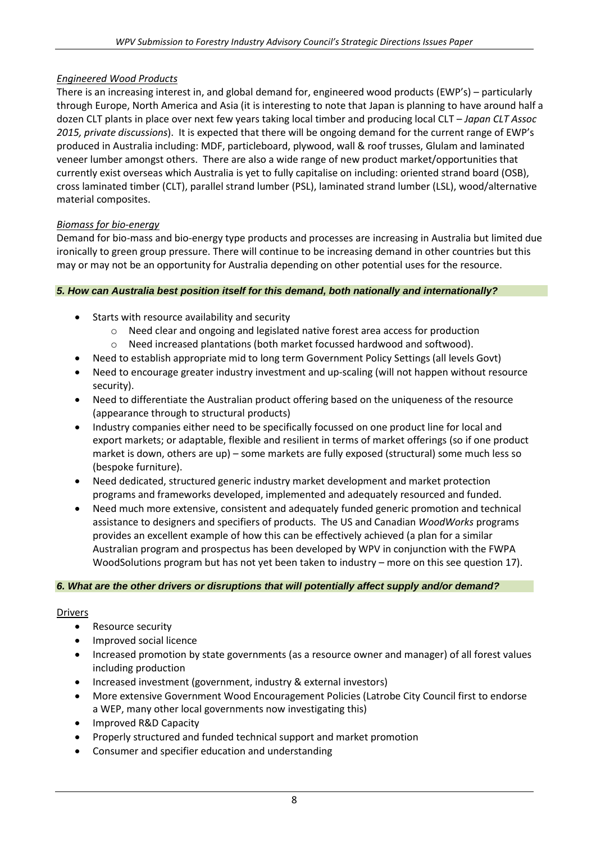## *Engineered Wood Products*

There is an increasing interest in, and global demand for, engineered wood products (EWP's) – particularly through Europe, North America and Asia (it is interesting to note that Japan is planning to have around half a dozen CLT plants in place over next few years taking local timber and producing local CLT – *Japan CLT Assoc 2015, private discussions*). It is expected that there will be ongoing demand for the current range of EWP's produced in Australia including: MDF, particleboard, plywood, wall & roof trusses, Glulam and laminated veneer lumber amongst others. There are also a wide range of new product market/opportunities that currently exist overseas which Australia is yet to fully capitalise on including: oriented strand board (OSB), cross laminated timber (CLT), parallel strand lumber (PSL), laminated strand lumber (LSL), wood/alternative material composites.

## *Biomass for bio-energy*

Demand for bio-mass and bio-energy type products and processes are increasing in Australia but limited due ironically to green group pressure. There will continue to be increasing demand in other countries but this may or may not be an opportunity for Australia depending on other potential uses for the resource.

#### *5. How can Australia best position itself for this demand, both nationally and internationally?*

- Starts with resource availability and security
	- o Need clear and ongoing and legislated native forest area access for production
	- o Need increased plantations (both market focussed hardwood and softwood).
- Need to establish appropriate mid to long term Government Policy Settings (all levels Govt)
- Need to encourage greater industry investment and up-scaling (will not happen without resource security).
- Need to differentiate the Australian product offering based on the uniqueness of the resource (appearance through to structural products)
- Industry companies either need to be specifically focussed on one product line for local and export markets; or adaptable, flexible and resilient in terms of market offerings (so if one product market is down, others are up) – some markets are fully exposed (structural) some much less so (bespoke furniture).
- Need dedicated, structured generic industry market development and market protection programs and frameworks developed, implemented and adequately resourced and funded.
- Need much more extensive, consistent and adequately funded generic promotion and technical assistance to designers and specifiers of products. The US and Canadian *WoodWorks* programs provides an excellent example of how this can be effectively achieved (a plan for a similar Australian program and prospectus has been developed by WPV in conjunction with the FWPA WoodSolutions program but has not yet been taken to industry – more on this see question 17).

#### *6. What are the other drivers or disruptions that will potentially affect supply and/or demand?*

#### **Drivers**

- Resource security
- Improved social licence
- Increased promotion by state governments (as a resource owner and manager) of all forest values including production
- Increased investment (government, industry & external investors)
- More extensive Government Wood Encouragement Policies (Latrobe City Council first to endorse a WEP, many other local governments now investigating this)
- Improved R&D Capacity
- Properly structured and funded technical support and market promotion
- Consumer and specifier education and understanding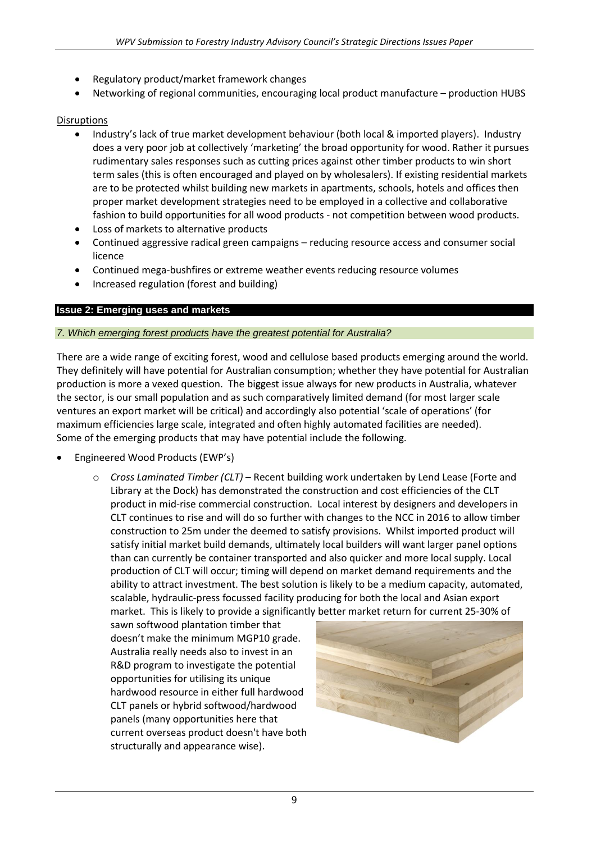- Regulatory product/market framework changes
- Networking of regional communities, encouraging local product manufacture production HUBS

### **Disruptions**

- Industry's lack of true market development behaviour (both local & imported players). Industry does a very poor job at collectively 'marketing' the broad opportunity for wood. Rather it pursues rudimentary sales responses such as cutting prices against other timber products to win short term sales (this is often encouraged and played on by wholesalers). If existing residential markets are to be protected whilst building new markets in apartments, schools, hotels and offices then proper market development strategies need to be employed in a collective and collaborative fashion to build opportunities for all wood products - not competition between wood products.
- Loss of markets to alternative products
- Continued aggressive radical green campaigns reducing resource access and consumer social licence
- Continued mega-bushfires or extreme weather events reducing resource volumes
- Increased regulation (forest and building)

## **Issue 2: Emerging uses and markets**

#### *7. Which emerging forest products have the greatest potential for Australia?*

There are a wide range of exciting forest, wood and cellulose based products emerging around the world. They definitely will have potential for Australian consumption; whether they have potential for Australian production is more a vexed question. The biggest issue always for new products in Australia, whatever the sector, is our small population and as such comparatively limited demand (for most larger scale ventures an export market will be critical) and accordingly also potential 'scale of operations' (for maximum efficiencies large scale, integrated and often highly automated facilities are needed). Some of the emerging products that may have potential include the following.

- Engineered Wood Products (EWP's)
	- o *Cross Laminated Timber (CLT)* Recent building work undertaken by Lend Lease (Forte and Library at the Dock) has demonstrated the construction and cost efficiencies of the CLT product in mid-rise commercial construction. Local interest by designers and developers in CLT continues to rise and will do so further with changes to the NCC in 2016 to allow timber construction to 25m under the deemed to satisfy provisions. Whilst imported product will satisfy initial market build demands, ultimately local builders will want larger panel options than can currently be container transported and also quicker and more local supply. Local production of CLT will occur; timing will depend on market demand requirements and the ability to attract investment. The best solution is likely to be a medium capacity, automated, scalable, hydraulic-press focussed facility producing for both the local and Asian export market. This is likely to provide a significantly better market return for current 25-30% of

sawn softwood plantation timber that doesn't make the minimum MGP10 grade. Australia really needs also to invest in an R&D program to investigate the potential opportunities for utilising its unique hardwood resource in either full hardwood CLT panels or hybrid softwood/hardwood panels (many opportunities here that current overseas product doesn't have both structurally and appearance wise).

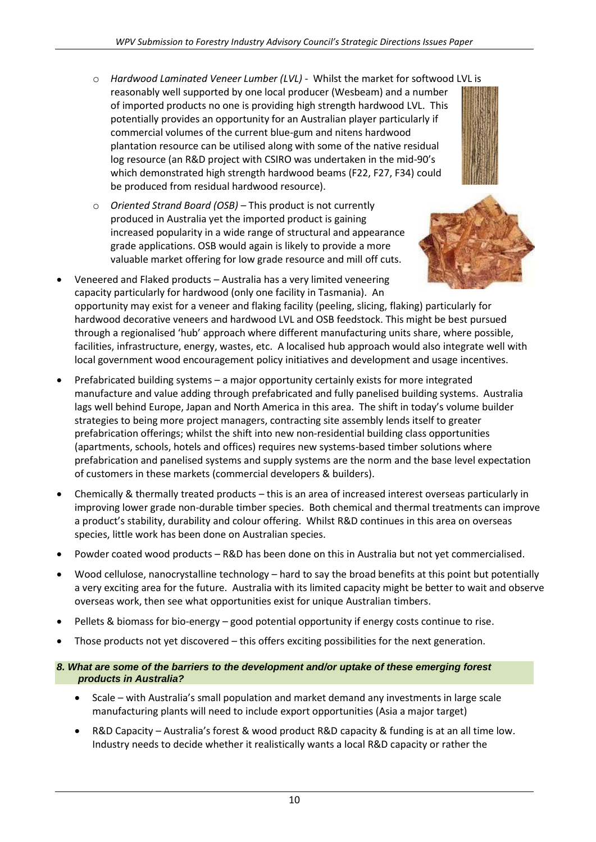- o *Hardwood Laminated Veneer Lumber (LVL)* Whilst the market for softwood LVL is reasonably well supported by one local producer (Wesbeam) and a number of imported products no one is providing high strength hardwood LVL. This potentially provides an opportunity for an Australian player particularly if commercial volumes of the current blue-gum and nitens hardwood plantation resource can be utilised along with some of the native residual log resource (an R&D project with CSIRO was undertaken in the mid-90's which demonstrated high strength hardwood beams (F22, F27, F34) could be produced from residual hardwood resource).
- o *Oriented Strand Board (OSB)* This product is not currently produced in Australia yet the imported product is gaining increased popularity in a wide range of structural and appearance grade applications. OSB would again is likely to provide a more valuable market offering for low grade resource and mill off cuts.



- Veneered and Flaked products Australia has a very limited veneering capacity particularly for hardwood (only one facility in Tasmania). An opportunity may exist for a veneer and flaking facility (peeling, slicing, flaking) particularly for hardwood decorative veneers and hardwood LVL and OSB feedstock. This might be best pursued through a regionalised 'hub' approach where different manufacturing units share, where possible, facilities, infrastructure, energy, wastes, etc. A localised hub approach would also integrate well with local government wood encouragement policy initiatives and development and usage incentives.
- Prefabricated building systems a major opportunity certainly exists for more integrated manufacture and value adding through prefabricated and fully panelised building systems. Australia lags well behind Europe, Japan and North America in this area. The shift in today's volume builder strategies to being more project managers, contracting site assembly lends itself to greater prefabrication offerings; whilst the shift into new non-residential building class opportunities (apartments, schools, hotels and offices) requires new systems-based timber solutions where prefabrication and panelised systems and supply systems are the norm and the base level expectation of customers in these markets (commercial developers & builders).
- Chemically & thermally treated products this is an area of increased interest overseas particularly in improving lower grade non-durable timber species. Both chemical and thermal treatments can improve a product's stability, durability and colour offering. Whilst R&D continues in this area on overseas species, little work has been done on Australian species.
- Powder coated wood products R&D has been done on this in Australia but not yet commercialised.
- Wood cellulose, nanocrystalline technology hard to say the broad benefits at this point but potentially a very exciting area for the future. Australia with its limited capacity might be better to wait and observe overseas work, then see what opportunities exist for unique Australian timbers.
- Pellets & biomass for bio-energy good potential opportunity if energy costs continue to rise.
- Those products not yet discovered this offers exciting possibilities for the next generation.
- *8. What are some of the barriers to the development and/or uptake of these emerging forest products in Australia?*
	- Scale with Australia's small population and market demand any investments in large scale manufacturing plants will need to include export opportunities (Asia a major target)
	- R&D Capacity Australia's forest & wood product R&D capacity & funding is at an all time low. Industry needs to decide whether it realistically wants a local R&D capacity or rather the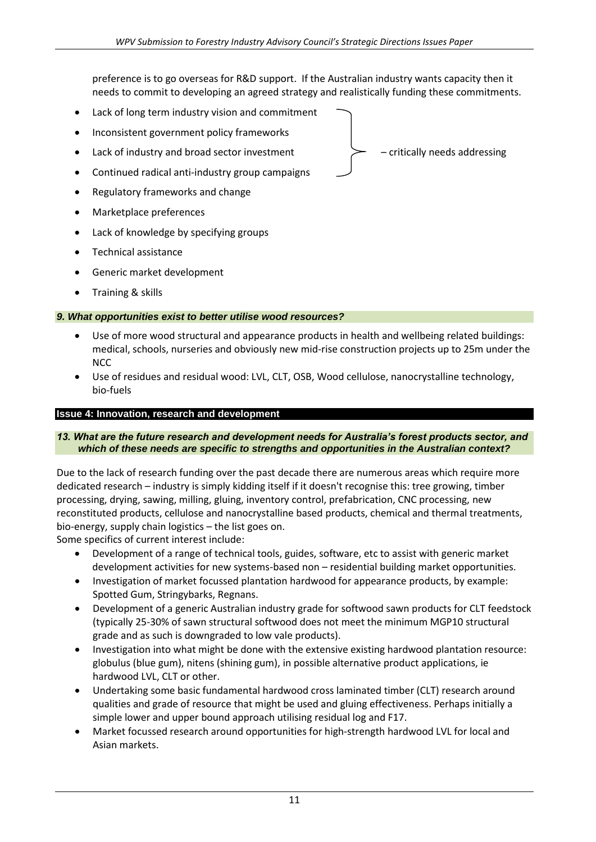preference is to go overseas for R&D support. If the Australian industry wants capacity then it needs to commit to developing an agreed strategy and realistically funding these commitments.

- Lack of long term industry vision and commitment
- Inconsistent government policy frameworks
- Lack of industry and broad sector investment  $\rightarrow$  critically needs addressing
- Continued radical anti-industry group campaigns
- Regulatory frameworks and change
- Marketplace preferences
- Lack of knowledge by specifying groups
- Technical assistance
- Generic market development
- Training & skills

#### *9. What opportunities exist to better utilise wood resources?*

- Use of more wood structural and appearance products in health and wellbeing related buildings: medical, schools, nurseries and obviously new mid-rise construction projects up to 25m under the NCC
- Use of residues and residual wood: LVL, CLT, OSB, Wood cellulose, nanocrystalline technology, bio-fuels

#### **Issue 4: Innovation, research and development**

#### *13. What are the future research and development needs for Australia's forest products sector, and which of these needs are specific to strengths and opportunities in the Australian context?*

Due to the lack of research funding over the past decade there are numerous areas which require more dedicated research – industry is simply kidding itself if it doesn't recognise this: tree growing, timber processing, drying, sawing, milling, gluing, inventory control, prefabrication, CNC processing, new reconstituted products, cellulose and nanocrystalline based products, chemical and thermal treatments, bio-energy, supply chain logistics – the list goes on.

Some specifics of current interest include:

- Development of a range of technical tools, guides, software, etc to assist with generic market development activities for new systems-based non – residential building market opportunities.
- Investigation of market focussed plantation hardwood for appearance products, by example: Spotted Gum, Stringybarks, Regnans.
- Development of a generic Australian industry grade for softwood sawn products for CLT feedstock (typically 25-30% of sawn structural softwood does not meet the minimum MGP10 structural grade and as such is downgraded to low vale products).
- Investigation into what might be done with the extensive existing hardwood plantation resource: globulus (blue gum), nitens (shining gum), in possible alternative product applications, ie hardwood LVL, CLT or other.
- Undertaking some basic fundamental hardwood cross laminated timber (CLT) research around qualities and grade of resource that might be used and gluing effectiveness. Perhaps initially a simple lower and upper bound approach utilising residual log and F17.
- Market focussed research around opportunities for high-strength hardwood LVL for local and Asian markets.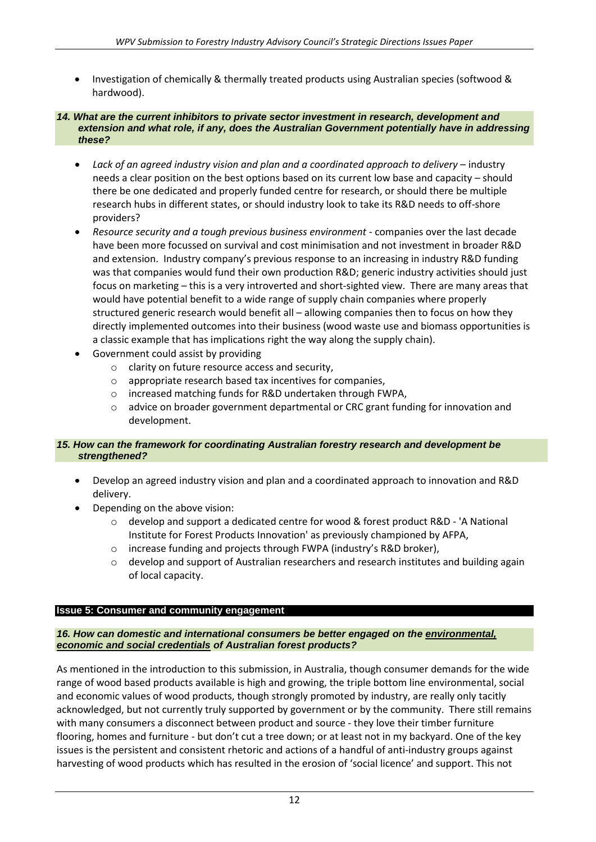Investigation of chemically & thermally treated products using Australian species (softwood & hardwood).

#### *14. What are the current inhibitors to private sector investment in research, development and extension and what role, if any, does the Australian Government potentially have in addressing these?*

- *Lack of an agreed industry vision and plan and a coordinated approach to delivery* industry needs a clear position on the best options based on its current low base and capacity – should there be one dedicated and properly funded centre for research, or should there be multiple research hubs in different states, or should industry look to take its R&D needs to off-shore providers?
- *Resource security and a tough previous business environment* companies over the last decade have been more focussed on survival and cost minimisation and not investment in broader R&D and extension. Industry company's previous response to an increasing in industry R&D funding was that companies would fund their own production R&D; generic industry activities should just focus on marketing – this is a very introverted and short-sighted view. There are many areas that would have potential benefit to a wide range of supply chain companies where properly structured generic research would benefit all – allowing companies then to focus on how they directly implemented outcomes into their business (wood waste use and biomass opportunities is a classic example that has implications right the way along the supply chain).
- Government could assist by providing
	- o clarity on future resource access and security,
	- o appropriate research based tax incentives for companies,
	- o increased matching funds for R&D undertaken through FWPA,
	- o advice on broader government departmental or CRC grant funding for innovation and development.

#### *15. How can the framework for coordinating Australian forestry research and development be strengthened?*

- Develop an agreed industry vision and plan and a coordinated approach to innovation and R&D delivery.
- Depending on the above vision:
	- $\circ$  develop and support a dedicated centre for wood & forest product R&D 'A National Institute for Forest Products Innovation' as previously championed by AFPA,
	- o increase funding and projects through FWPA (industry's R&D broker),
	- $\circ$  develop and support of Australian researchers and research institutes and building again of local capacity.

#### **Issue 5: Consumer and community engagement**

#### *16. How can domestic and international consumers be better engaged on the environmental, economic and social credentials of Australian forest products?*

As mentioned in the introduction to this submission, in Australia, though consumer demands for the wide range of wood based products available is high and growing, the triple bottom line environmental, social and economic values of wood products, though strongly promoted by industry, are really only tacitly acknowledged, but not currently truly supported by government or by the community. There still remains with many consumers a disconnect between product and source - they love their timber furniture flooring, homes and furniture - but don't cut a tree down; or at least not in my backyard. One of the key issues is the persistent and consistent rhetoric and actions of a handful of anti-industry groups against harvesting of wood products which has resulted in the erosion of 'social licence' and support. This not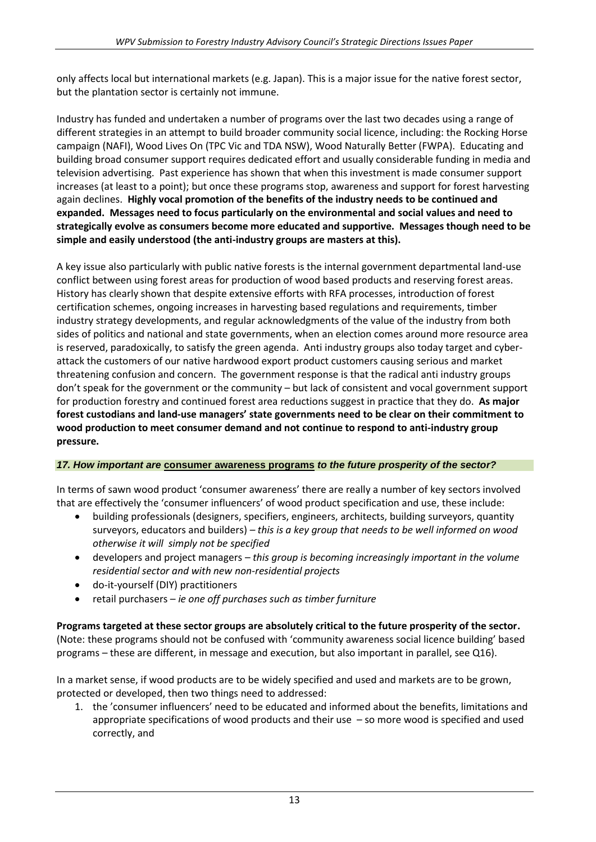only affects local but international markets (e.g. Japan). This is a major issue for the native forest sector, but the plantation sector is certainly not immune.

Industry has funded and undertaken a number of programs over the last two decades using a range of different strategies in an attempt to build broader community social licence, including: the Rocking Horse campaign (NAFI), Wood Lives On (TPC Vic and TDA NSW), Wood Naturally Better (FWPA). Educating and building broad consumer support requires dedicated effort and usually considerable funding in media and television advertising. Past experience has shown that when this investment is made consumer support increases (at least to a point); but once these programs stop, awareness and support for forest harvesting again declines. **Highly vocal promotion of the benefits of the industry needs to be continued and expanded. Messages need to focus particularly on the environmental and social values and need to strategically evolve as consumers become more educated and supportive. Messages though need to be simple and easily understood (the anti-industry groups are masters at this).**

A key issue also particularly with public native forests is the internal government departmental land-use conflict between using forest areas for production of wood based products and reserving forest areas. History has clearly shown that despite extensive efforts with RFA processes, introduction of forest certification schemes, ongoing increases in harvesting based regulations and requirements, timber industry strategy developments, and regular acknowledgments of the value of the industry from both sides of politics and national and state governments, when an election comes around more resource area is reserved, paradoxically, to satisfy the green agenda. Anti industry groups also today target and cyberattack the customers of our native hardwood export product customers causing serious and market threatening confusion and concern. The government response is that the radical anti industry groups don't speak for the government or the community – but lack of consistent and vocal government support for production forestry and continued forest area reductions suggest in practice that they do. **As major forest custodians and land-use managers' state governments need to be clear on their commitment to wood production to meet consumer demand and not continue to respond to anti-industry group pressure.**

#### *17. How important are* **consumer awareness programs** *to the future prosperity of the sector?*

In terms of sawn wood product 'consumer awareness' there are really a number of key sectors involved that are effectively the 'consumer influencers' of wood product specification and use, these include:

- building professionals (designers, specifiers, engineers, architects, building surveyors, quantity surveyors, educators and builders) *– this is a key group that needs to be well informed on wood otherwise it will simply not be specified*
- developers and project managers *this group is becoming increasingly important in the volume residential sector and with new non-residential projects*
- do-it-yourself (DIY) practitioners
- retail purchasers *ie one off purchases such as timber furniture*

**Programs targeted at these sector groups are absolutely critical to the future prosperity of the sector.** (Note: these programs should not be confused with 'community awareness social licence building' based programs – these are different, in message and execution, but also important in parallel, see Q16).

In a market sense, if wood products are to be widely specified and used and markets are to be grown, protected or developed, then two things need to addressed:

1. the 'consumer influencers' need to be educated and informed about the benefits, limitations and appropriate specifications of wood products and their use – so more wood is specified and used correctly, and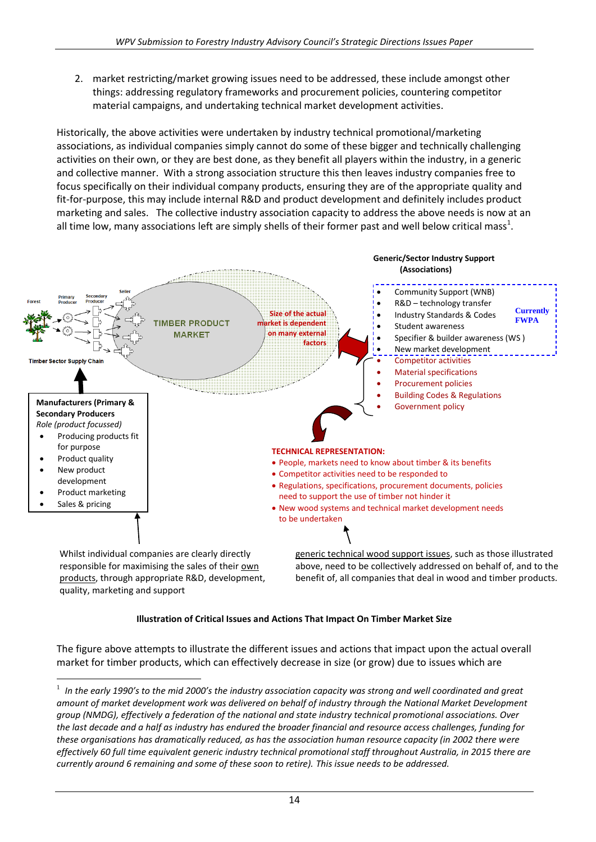2. market restricting/market growing issues need to be addressed, these include amongst other things: addressing regulatory frameworks and procurement policies, countering competitor material campaigns, and undertaking technical market development activities.

Historically, the above activities were undertaken by industry technical promotional/marketing associations, as individual companies simply cannot do some of these bigger and technically challenging activities on their own, or they are best done, as they benefit all players within the industry, in a generic and collective manner. With a strong association structure this then leaves industry companies free to focus specifically on their individual company products, ensuring they are of the appropriate quality and fit-for-purpose, this may include internal R&D and product development and definitely includes product marketing and sales. The collective industry association capacity to address the above needs is now at an all time low, many associations left are simply shells of their former past and well below critical mass<sup>1</sup>.



#### **Illustration of Critical Issues and Actions That Impact On Timber Market Size**

The figure above attempts to illustrate the different issues and actions that impact upon the actual overall market for timber products, which can effectively decrease in size (or grow) due to issues which are

1

<sup>1</sup> *In the early 1990's to the mid 2000's the industry association capacity was strong and well coordinated and great amount of market development work was delivered on behalf of industry through the National Market Development group (NMDG), effectively a federation of the national and state industry technical promotional associations. Over the last decade and a half as industry has endured the broader financial and resource access challenges, funding for these organisations has dramatically reduced, as has the association human resource capacity (in 2002 there were effectively 60 full time equivalent generic industry technical promotional staff throughout Australia, in 2015 there are currently around 6 remaining and some of these soon to retire). This issue needs to be addressed.*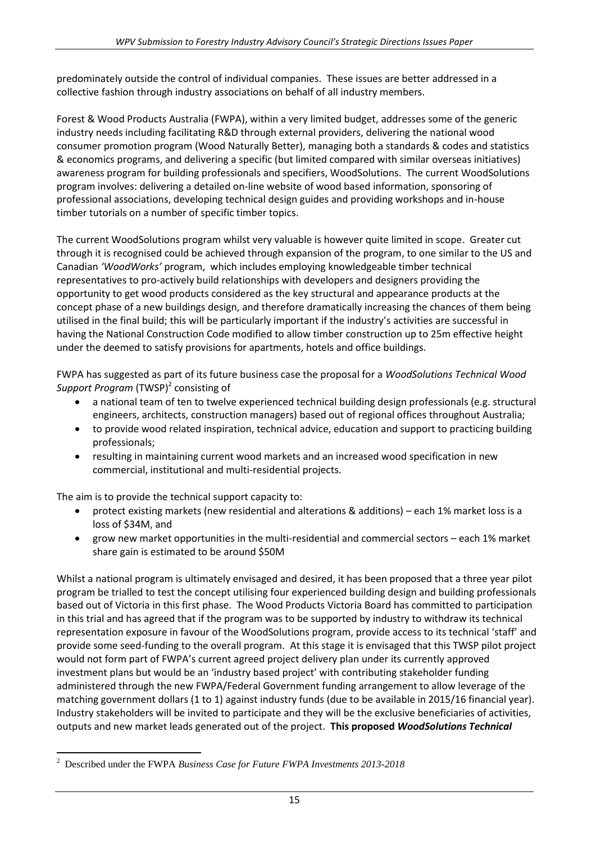predominately outside the control of individual companies. These issues are better addressed in a collective fashion through industry associations on behalf of all industry members.

Forest & Wood Products Australia (FWPA), within a very limited budget, addresses some of the generic industry needs including facilitating R&D through external providers, delivering the national wood consumer promotion program (Wood Naturally Better), managing both a standards & codes and statistics & economics programs, and delivering a specific (but limited compared with similar overseas initiatives) awareness program for building professionals and specifiers, WoodSolutions. The current WoodSolutions program involves: delivering a detailed on-line website of wood based information, sponsoring of professional associations, developing technical design guides and providing workshops and in-house timber tutorials on a number of specific timber topics.

The current WoodSolutions program whilst very valuable is however quite limited in scope. Greater cut through it is recognised could be achieved through expansion of the program, to one similar to the US and Canadian *'WoodWorks'* program, which includes employing knowledgeable timber technical representatives to pro-actively build relationships with developers and designers providing the opportunity to get wood products considered as the key structural and appearance products at the concept phase of a new buildings design, and therefore dramatically increasing the chances of them being utilised in the final build; this will be particularly important if the industry's activities are successful in having the National Construction Code modified to allow timber construction up to 25m effective height under the deemed to satisfy provisions for apartments, hotels and office buildings.

FWPA has suggested as part of its future business case the proposal for a *WoodSolutions Technical Wood*  Support Program (TWSP)<sup>2</sup> consisting of

- a national team of ten to twelve experienced technical building design professionals (e.g. structural engineers, architects, construction managers) based out of regional offices throughout Australia;
- to provide wood related inspiration, technical advice, education and support to practicing building professionals;
- resulting in maintaining current wood markets and an increased wood specification in new commercial, institutional and multi-residential projects.

The aim is to provide the technical support capacity to:

- protect existing markets (new residential and alterations & additions) each 1% market loss is a loss of \$34M, and
- grow new market opportunities in the multi-residential and commercial sectors each 1% market share gain is estimated to be around \$50M

Whilst a national program is ultimately envisaged and desired, it has been proposed that a three year pilot program be trialled to test the concept utilising four experienced building design and building professionals based out of Victoria in this first phase. The Wood Products Victoria Board has committed to participation in this trial and has agreed that if the program was to be supported by industry to withdraw its technical representation exposure in favour of the WoodSolutions program, provide access to its technical 'staff' and provide some seed-funding to the overall program. At this stage it is envisaged that this TWSP pilot project would not form part of FWPA's current agreed project delivery plan under its currently approved investment plans but would be an 'industry based project' with contributing stakeholder funding administered through the new FWPA/Federal Government funding arrangement to allow leverage of the matching government dollars (1 to 1) against industry funds (due to be available in 2015/16 financial year). Industry stakeholders will be invited to participate and they will be the exclusive beneficiaries of activities, outputs and new market leads generated out of the project. **This proposed** *WoodSolutions Technical* 

<sup>1</sup> <sup>2</sup> Described under the FWPA *Business Case for Future FWPA Investments 2013-2018*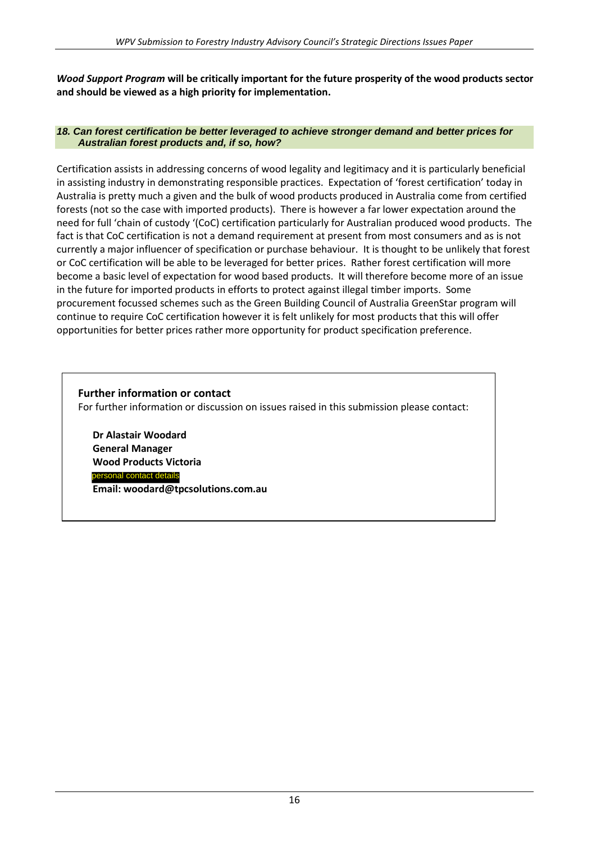*Wood Support Program* **will be critically important for the future prosperity of the wood products sector and should be viewed as a high priority for implementation.**

#### *18. Can forest certification be better leveraged to achieve stronger demand and better prices for Australian forest products and, if so, how?*

Certification assists in addressing concerns of wood legality and legitimacy and it is particularly beneficial in assisting industry in demonstrating responsible practices. Expectation of 'forest certification' today in Australia is pretty much a given and the bulk of wood products produced in Australia come from certified forests (not so the case with imported products). There is however a far lower expectation around the need for full 'chain of custody '(CoC) certification particularly for Australian produced wood products. The fact is that CoC certification is not a demand requirement at present from most consumers and as is not currently a major influencer of specification or purchase behaviour. It is thought to be unlikely that forest or CoC certification will be able to be leveraged for better prices. Rather forest certification will more become a basic level of expectation for wood based products. It will therefore become more of an issue in the future for imported products in efforts to protect against illegal timber imports. Some procurement focussed schemes such as the Green Building Council of Australia GreenStar program will continue to require CoC certification however it is felt unlikely for most products that this will offer opportunities for better prices rather more opportunity for product specification preference.

# **Further information or contact**

For further information or discussion on issues raised in this submission please contact:

**Dr Alastair Woodard General Manager Wood Products Victoria Email: woodard@tpcsolutions.com.au**  personal contact details